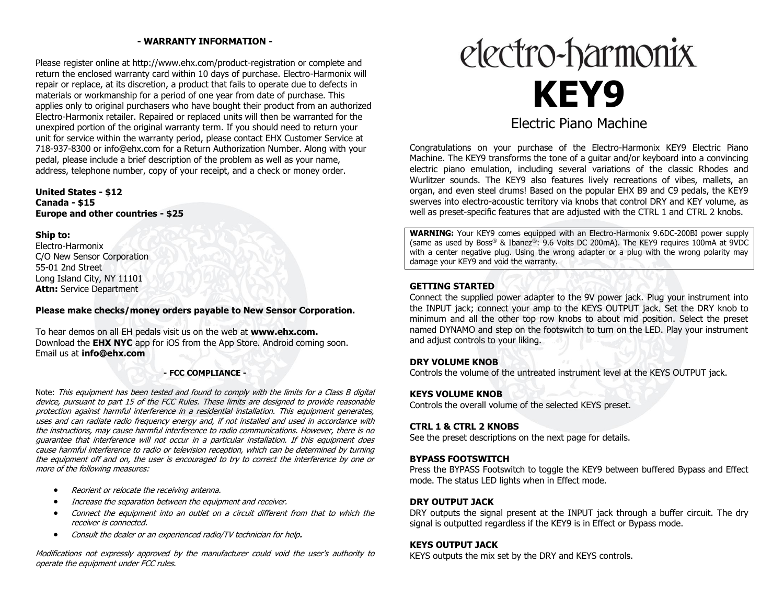# **- WARRANTY INFORMATION -**

Please register online at http://www.ehx.com/product-registration or complete and return the enclosed warranty card within 10 days of purchase. Electro-Harmonix will repair or replace, at its discretion, a product that fails to operate due to defects in materials or workmanship for a period of one year from date of purchase. This applies only to original purchasers who have bought their product from an authorized Electro-Harmonix retailer. Repaired or replaced units will then be warranted for the unexpired portion of the original warranty term. If you should need to return your unit for service within the warranty period, please contact EHX Customer Service at 718-937-8300 or info@ehx.com for a Return Authorization Number. Along with your pedal, please include a brief description of the problem as well as your name, address, telephone number, copy of your receipt, and a check or money order.

# **United States - \$12 Canada - \$15 Europe and other countries - \$25**

#### **Ship to:**

Electro-Harmonix C/O New Sensor Corporation 55-01 2nd Street Long Island City, NY 11101 **Attn:** Service Department

# **Please make checks/money orders payable to New Sensor Corporation.**

To hear demos on all EH pedals visit us on the web at **www.ehx.com.**  Download the **EHX NYC** app for iOS from the App Store. Android coming soon. Email us at **info@ehx.com**

#### **- FCC COMPLIANCE -**

Note: This equipment has been tested and found to comply with the limits for a Class B digital device, pursuant to part 15 of the FCC Rules. These limits are designed to provide reasonable protection against harmful interference in a residential installation. This equipment generates, uses and can radiate radio frequency energy and, if not installed and used in accordance with the instructions, may cause harmful interference to radio communications. However, there is no guarantee that interference will not occur in a particular installation. If this equipment does cause harmful interference to radio or television reception, which can be determined by turning the equipment off and on, the user is encouraged to try to correct the interference by one or more of the following measures:

- Reorient or relocate the receiving antenna.
- Increase the separation between the equipment and receiver.
- Connect the equipment into an outlet on a circuit different from that to which the receiver is connected.
- Consult the dealer or an experienced radio/TV technician for help**.**

Modifications not expressly approved by the manufacturer could void the user's authority to operate the equipment under FCC rules.



Congratulations on your purchase of the Electro-Harmonix KEY9 Electric Piano Machine. The KEY9 transforms the tone of a quitar and/or keyboard into a convincing electric piano emulation, including several variations of the classic Rhodes and Wurlitzer sounds. The KEY9 also features lively recreations of vibes, mallets, an organ, and even steel drums! Based on the popular EHX B9 and C9 pedals, the KEY9 swerves into electro-acoustic territory via knobs that control DRY and KEY volume, as well as preset-specific features that are adjusted with the CTRL 1 and CTRL 2 knobs.

**WARNING:** Your KEY9 comes equipped with an Electro-Harmonix 9.6DC-200BI power supply (same as used by Boss® & Ibanez®: 9.6 Volts DC 200mA). The KEY9 requires 100mA at 9VDC with a center negative plug. Using the wrong adapter or a plug with the wrong polarity may damage your KEY9 and void the warranty.

# **GETTING STARTED**

Connect the supplied power adapter to the 9V power jack. Plug your instrument into the INPUT jack; connect your amp to the KEYS OUTPUT jack. Set the DRY knob to minimum and all the other top row knobs to about mid position. Select the preset named DYNAMO and step on the footswitch to turn on the LED. Play your instrument and adjust controls to your liking.

# **DRY VOLUME KNOB**

Controls the volume of the untreated instrument level at the KEYS OUTPUT jack.

# **KEYS VOLUME KNOB**

Controls the overall volume of the selected KEYS preset.

# **CTRL 1 & CTRL 2 KNOBS**

See the preset descriptions on the next page for details.

# **BYPASS FOOTSWITCH**

Press the BYPASS Footswitch to toggle the KEY9 between buffered Bypass and Effect mode. The status LED lights when in Effect mode.

# **DRY OUTPUT JACK**

DRY outputs the signal present at the INPUT jack through a buffer circuit. The dry signal is outputted regardless if the KEY9 is in Effect or Bypass mode.

# **KEYS OUTPUT JACK**

KEYS outputs the mix set by the DRY and KEYS controls.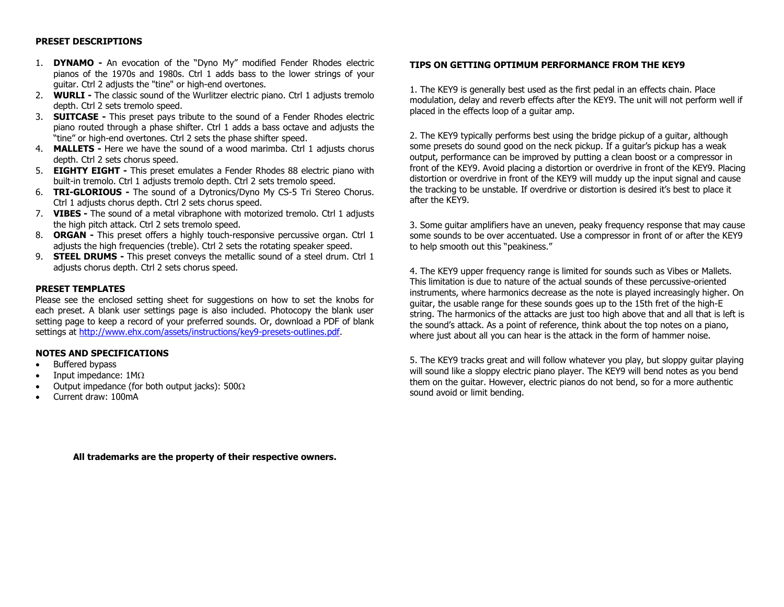#### **PRESET DESCRIPTIONS**

- 1. **DYNAMO -** An evocation of the "Dyno My" modified Fender Rhodes electric pianos of the 1970s and 1980s. Ctrl 1 adds bass to the lower strings of your guitar. Ctrl 2 adjusts the "tine" or high-end overtones.
- 2. **WURLI -** The classic sound of the Wurlitzer electric piano. Ctrl 1 adjusts tremolo depth. Ctrl 2 sets tremolo speed.
- 3. **SUITCASE -** This preset pays tribute to the sound of a Fender Rhodes electric piano routed through a phase shifter. Ctrl 1 adds a bass octave and adjusts the "tine" or high-end overtones. Ctrl 2 sets the phase shifter speed.
- 4. **MALLETS -** Here we have the sound of a wood marimba. Ctrl 1 adjusts chorus depth. Ctrl 2 sets chorus speed.
- 5. **EIGHTY EIGHT -** This preset emulates a Fender Rhodes 88 electric piano with built-in tremolo. Ctrl 1 adjusts tremolo depth. Ctrl 2 sets tremolo speed.
- 6. **TRI-GLORIOUS -** The sound of a Dytronics/Dyno My CS-5 Tri Stereo Chorus. Ctrl 1 adjusts chorus depth. Ctrl 2 sets chorus speed.
- 7. **VIBES -** The sound of a metal vibraphone with motorized tremolo. Ctrl 1 adjusts the high pitch attack. Ctrl 2 sets tremolo speed.
- 8. **ORGAN -** This preset offers a highly touch-responsive percussive organ. Ctrl 1 adjusts the high frequencies (treble). Ctrl 2 sets the rotating speaker speed.
- 9. **STEEL DRUMS -** This preset conveys the metallic sound of a steel drum. Ctrl 1 adjusts chorus depth. Ctrl 2 sets chorus speed.

#### **PRESET TEMPLATES**

Please see the enclosed setting sheet for suggestions on how to set the knobs for each preset. A blank user settings page is also included. Photocopy the blank user setting page to keep a record of your preferred sounds. Or, download a PDF of blank settings at [http://www.ehx.com/assets/instructions/key9-presets-outlines.pdf.](http://www.ehx.com/assets/instructions/key9-presets-outlines.pdf)

### **NOTES AND SPECIFICATIONS**

- Buffered bypass
- Input impedance:  $1M\Omega$
- Output impedance (for both output jacks):  $500\Omega$
- Current draw: 100mA

# **TIPS ON GETTING OPTIMUM PERFORMANCE FROM THE KEY9**

1. The KEY9 is generally best used as the first pedal in an effects chain. Place modulation, delay and reverb effects after the KEY9. The unit will not perform well if placed in the effects loop of a guitar amp.

2. The KEY9 typically performs best using the bridge pickup of a guitar, although some presets do sound good on the neck pickup. If a guitar's pickup has a weak output, performance can be improved by putting a clean boost or a compressor in front of the KEY9. Avoid placing a distortion or overdrive in front of the KEY9. Placing distortion or overdrive in front of the KEY9 will muddy up the input signal and cause the tracking to be unstable. If overdrive or distortion is desired it's best to place it after the KEY9.

3. Some guitar amplifiers have an uneven, peaky frequency response that may cause some sounds to be over accentuated. Use a compressor in front of or after the KEY9 to help smooth out this "peakiness."

4. The KEY9 upper frequency range is limited for sounds such as Vibes or Mallets. This limitation is due to nature of the actual sounds of these percussive-oriented instruments, where harmonics decrease as the note is played increasingly higher. On guitar, the usable range for these sounds goes up to the 15th fret of the high-E string. The harmonics of the attacks are just too high above that and all that is left is the sound's attack. As a point of reference, think about the top notes on a piano, where just about all you can hear is the attack in the form of hammer noise.

5. The KEY9 tracks great and will follow whatever you play, but sloppy guitar playing will sound like a sloppy electric piano player. The KEY9 will bend notes as you bend them on the guitar. However, electric pianos do not bend, so for a more authentic sound avoid or limit bending.

**All trademarks are the property of their respective owners.**